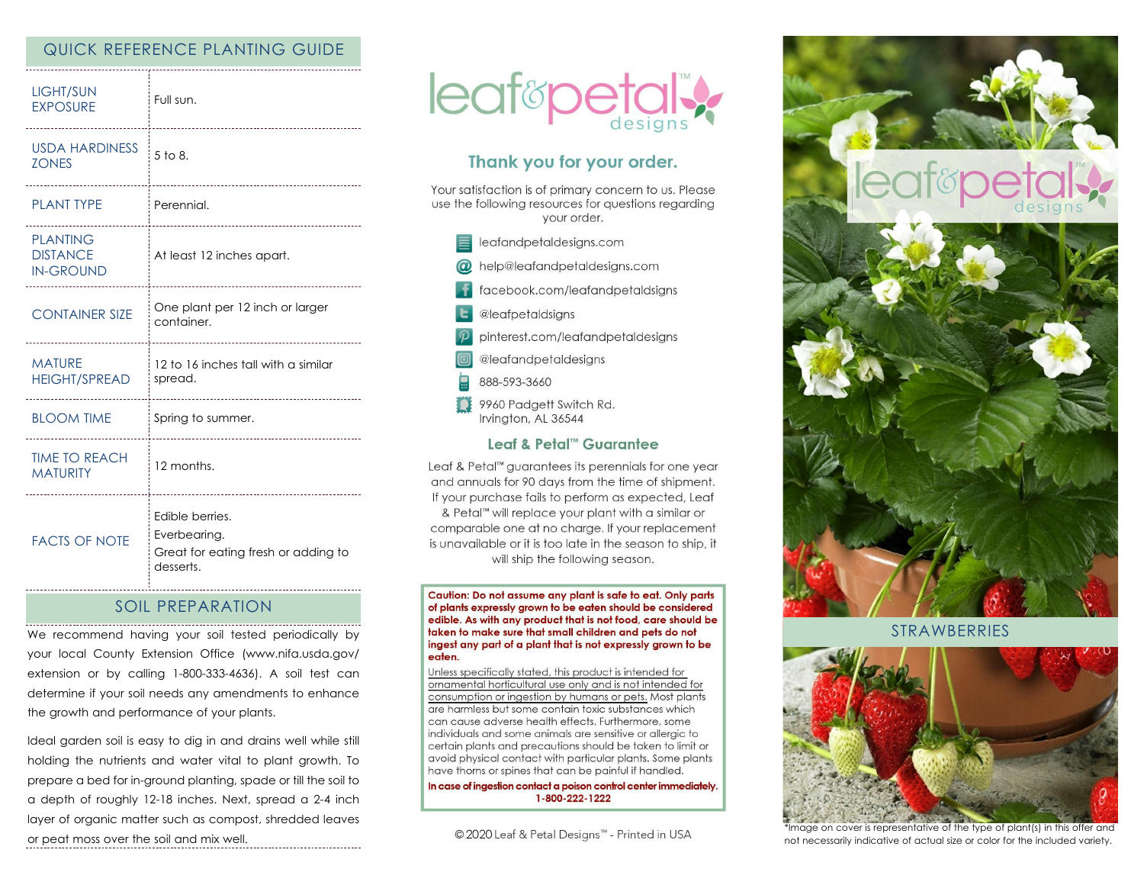## QUICK REFERENCE PLANTING GUIDE

| <b>LIGHT/SUN</b><br><b>EXPOSURE</b><br>                      | Full sun.                                                                              |
|--------------------------------------------------------------|----------------------------------------------------------------------------------------|
| <b>USDA HARDINESS</b><br><b>ZONES</b><br>------------------- | 5 to 8.<br>--------------------------                                                  |
| <b>PLANT TYPE</b>                                            | Perennial.                                                                             |
| <b>PLANTING</b><br><b>DISTANCE</b><br><b>IN-GROUND</b>       | <br>At least 12 inches apart.                                                          |
| <b>CONTAINER SIZE</b><br>---------------------               | One plant per 12 inch or larger<br>container.<br>------------------------------------- |
| <b>MATURE</b><br><b>HEIGHT/SPREAD</b>                        | 12 to 16 inches tall with a similar<br>spread.                                         |
| <b>BLOOM TIME</b>                                            | Spring to summer.<br>--------------------                                              |
| <b>TIME TO REACH</b><br><b>MATURITY</b>                      | 12 months.                                                                             |
| <b>FACTS OF NOTE</b>                                         | Edible berries.<br>Everbearing.<br>Great for eating fresh or adding to<br>desserts.    |

### SOIL PREPARATION

We recommend having your soil tested periodically by your local County Extension Office (www.nifa.usda.gov/ extension or by calling 1-800-333-4636). A soil test can determine if your soil needs any amendments to enhance the growth and performance of your plants.

Ideal garden soil is easy to dig in and drains well while still holding the nutrients and water vital to plant growth. To prepare a bed for in-ground planting, spade or till the soil to a depth of roughly 12-18 inches. Next, spread a 2-4 inch layer of organic matter such as compost, shredded leaves or peat moss over the soil and mix well.



# Thank you for your order.

Your satisfaction is of primary concern to us. Please use the following resources for questions regarding vour order.

| leafandpetaldesigns.com |  |
|-------------------------|--|
|                         |  |

- @ help@leafandpetaldesigns.com
	- facebook.com/leafandpetaldsigns
- **L** @leafpetaldsigns
- pinterest.com/leafandpetaldesigns
- @leafandpetaldesigns
- 888-593-3660
- 9960 Padgett Switch Rd. Irvington, AL 36544

#### Leaf & Petal™ Guarantee

Leaf & Petal™ guarantees its perennials for one year and annuals for 90 days from the time of shipment. If your purchase fails to perform as expected, Leaf & Petal<sup>™</sup> will replace your plant with a similar or comparable one at no charge. If your replacement is unavailable or it is too late in the season to ship, it will ship the following season.

Caution: Do not assume any plant is safe to eat. Only parts of plants expressly grown to be eaten should be considered edible. As with any product that is not food, care should be taken to make sure that small children and pets do not ingest any part of a plant that is not expressly grown to be eaten.

Unless specifically stated, this product is intended for ornamental horticultural use only and is not intended for consumption or ingestion by humans or pets. Most plants are harmless but some contain toxic substances which can cause adverse health effects. Furthermore, some individuals and some animals are sensitive or allergic to certain plants and precautions should be taken to limit or avoid physical contact with particular plants. Some plants have thorns or spines that can be painful if handled.

In case of ingestion contact a poison control center immediately. 1-800-222-1222

© 2020 Leaf & Petal Designs™ - Printed in USA



**STRAWBERRIES** 



\*Image on cover is representative of the type of plant(s) in this offer and not necessarily indicative of actual size or color for the included variety.